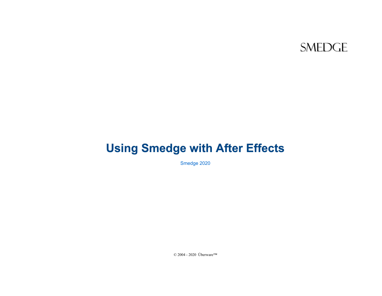#### **SMEDGE**

# **Using Smedge with After Effects**

Smedge 2020

© 2004 - 2020 Überware™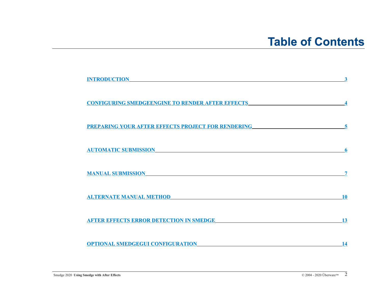## **Table of Contents**

| <u> 1989 - Andrea Santa Alemania, amerikana amerikana amerikana amerikana amerikana amerikana amerikana amerikan</u><br><b>INTRODUCTION</b>          |           |
|------------------------------------------------------------------------------------------------------------------------------------------------------|-----------|
| <u>CONFIGURING SMEDGEENGINE TO RENDER AFTER EFFECTS</u>                                                                                              |           |
| <u>PREPARING YOUR AFTER EFFECTS PROJECT FOR RENDERING _____________________________</u>                                                              |           |
| <b>AUTOMATIC SUBMISSION</b><br><u> 1989 - Andrea Station Barbara, actor a component de la componentación de la componentación de la componentaci</u> |           |
| <b>MANUAL SUBMISSION</b>                                                                                                                             |           |
| <u> 1980 - John Stein, Amerikaansk politiker (</u> † 1900)<br><b>ALTERNATE MANUAL METHOD</b>                                                         | <b>10</b> |
| <b>AFTER EFFECTS ERROR DETECTION IN SMEDGE</b>                                                                                                       | 13        |
| <b>OPTIONAL SMEDGEGUI CONFIGURATION</b>                                                                                                              | 14        |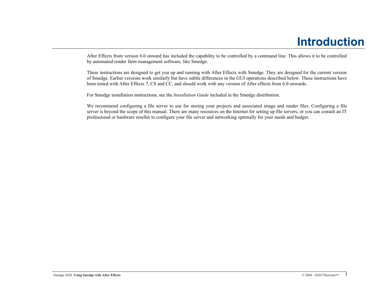## <span id="page-2-0"></span>**Introduction**

After Effects from version 6.0 onward has included the capability to be controlled by a command line. This allows it to be controlled by automated render farm management software, like Smedge.

These instructions are designed to get you up and running with After Effects with Smedge. They are designed for the current version of Smedge. Earlier versions work similarly but have subtle differences in the GUI operations described below. These instructions have been tested with After Effects 7, CS and CC, and should work with any version of After effects from 6.0 onwards.

For Smedge installation instructions, see the *Installation Guide* included in the Smedge distribution.

We recommend configuring a file server to use for storing your projects and associated image and render files. Configuring a file server is beyond the scope of this manual. There are many resources on the Internet for setting up file servers, or you can consult an IT professional or hardware reseller to configure your file server and networking optimally for your needs and budget.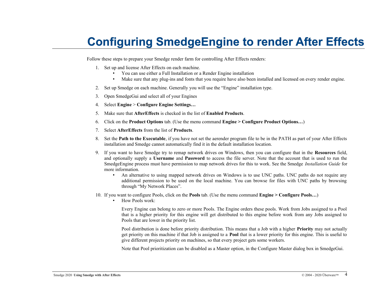# <span id="page-3-0"></span>**Configuring SmedgeEngine to render After Effects**

Follow these steps to prepare your Smedge render farm for controlling After Effects renders:

- 1. Set up and license After Effects on each machine.
	- You can use either a Full Installation or a Render Engine installation
	- Make sure that any plug-ins and fonts that you require have also been installed and licensed on every render engine.
- 2. Set up Smedge on each machine. Generally you will use the "Engine" installation type.
- 3. Open SmedgeGui and select all of your Engines
- 4. Select **Engine** > **Configure Engine Settings…**
- 5. Make sure that **AfterEffects** is checked in the list of **Enabled Products**.
- 6. Click on the **Product Options** tab. (Use the menu command **Engine > Configure Product Options…**)
- 7. Select **AfterEffects** from the list of **Products**.
- 8. Set the **Path to the Executable**, if you have not set the aerender program file to be in the PATH as part of your After Effects installation and Smedge cannot automatically find it in the default installation location.
- 9. If you want to have Smedge try to remap network drives on Windows, then you can configure that in the **Resources** field, and optionally supply a **Username** and **Password** to access the file server. Note that the account that is used to run the SmedgeEngine process must have permission to map network drives for this to work. See the Smedge *Installation Guide* for more information.
	- An alternative to using mapped network drives on Windows is to use UNC paths. UNC paths do not require any additional permission to be used on the local machine. You can browse for files with UNC paths by browsing through "My Network Places".
- 10. If you want to configure Pools, click on the **Pools** tab. (Use the menu command **Engine > Configure Pools…**)
	- How Pools work:

Every Engine can belong to zero or more Pools. The Engine orders these pools. Work from Jobs assigned to a Pool that is a higher priority for this engine will get distributed to this engine before work from any Jobs assigned to Pools that are lower in the priority list.

Pool distribution is done before priority distribution. This means that a Job with a higher **Priority** may not actually get priority on this machine if that Job is assigned to a **Pool** that is a lower priority for this engine. This is useful to give different projects priority on machines, so that every project gets some workers.

Note that Pool prioritization can be disabled as a Master option, in the Configure Master dialog box in SmedgeGui.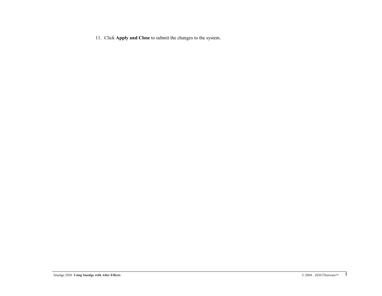11. Click **Apply and Close** to submit the changes to the system.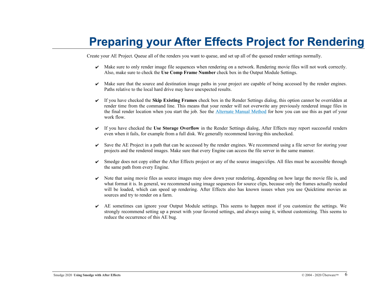# <span id="page-5-0"></span>**Preparing your After Effects Project for Rendering**

Create your AE Project. Queue all of the renders you want to queue, and set up all of the queued render settings normally.

- $\blacktriangleright$  Make sure to only render image file sequences when rendering on a network. Rendering movie files will not work correctly. Also, make sure to check the **Use Comp Frame Number** check box in the Output Module Settings.
- $\blacktriangleright$  Make sure that the source and destination image paths in your project are capable of being accessed by the render engines. Paths relative to the local hard drive may have unexpected results.
- ✔ If you have checked the **Skip Existing Frames** check box in the Render Settings dialog, this option cannot be overridden at render time from the command line. This means that your render will not overwrite any previously rendered image files in the final render location when you start the job. See the **[Alternate Manual Method](#page-10-0)** for how you can use this as part of your work flow.
- ✔ If you have checked the **Use Storage Overflow** in the Render Settings dialog, After Effects may report successful renders even when it fails, for example from a full disk. We generally recommend leaving this unchecked.
- $\triangleright$  Save the AE Project in a path that can be accessed by the render engines. We recommend using a file server for storing your projects and the rendered images. Make sure that every Engine can access the file server in the same manner.
- ✔ Smedge does not copy either the After Effects project or any of the source images/clips. All files must be accessible through the same path from every Engine.
- $\triangleright$  Note that using movie files as source images may slow down your rendering, depending on how large the movie file is, and what format it is. In general, we recommend using image sequences for source clips, because only the frames actually needed will be loaded, which can speed up rendering. After Effects also has known issues when you use Quicktime movies as sources and try to render on a farm.
- $\vee$  AE sometimes can ignore your Output Module settings. This seems to happen most if you customize the settings. We strongly recommend setting up a preset with your favored settings, and always using it, without customizing. This seems to reduce the occurrence of this AE bug.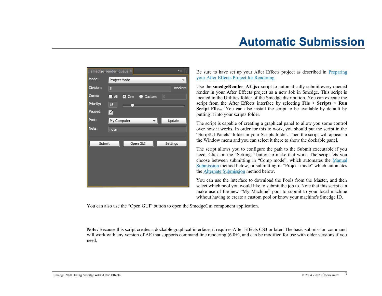# <span id="page-6-0"></span>**Automatic Submission**



Be sure to have set up your After Effects project as described in **[Preparing](#page-5-0)** [your After Effects Project for Rendering](#page-5-0).

Use the **smedgeRender** AE.jsx script to automatically submit every queued render in your After Effects project as a new Job in Smedge. This script is located in the Utilities folder of the Smedge distribution. You can execute the script from the After Effects interface by selecting **File** > **Scripts** > **Run Script File...**. You can also install the script to be available by default by putting it into your scripts folder.

The script is capable of creating a graphical panel to allow you some control over how it works. In order for this to work, you should put the script in the "ScriptUI Panels" folder in your Scripts folder. Then the script will appear in the Window menu and you can select it there to show the dockable panel.

The script allows you to configure the path to the Submit executable if you need. Click on the "Settings" button to make that work. The script lets you choose between submitting in "Comp mode", which automates the [Manual](#page-7-0) [Submission](#page-7-0) method below, or submitting in "Project mode" which automates the [Alternate Submission](#page-10-0) method below.

You can use the interface to download the Pools from the Master, and then select which pool you would like to submit the job to. Note that this script can make use of the new "My Machine" pool to submit to your local machine without having to create a custom pool or know your machine's Smedge ID.

You can also use the "Open GUI" button to open the SmedgeGui component application.

**Note:** Because this script creates a dockable graphical interface, it requires After Effects CS3 or later. The basic submission command will work with any version of AE that supports command line rendering (6.0+), and can be modified for use with older versions if you need.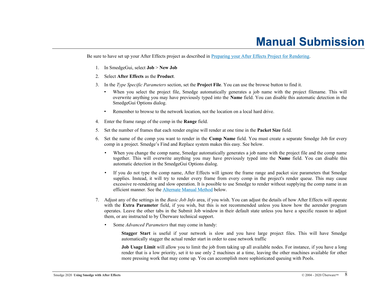## <span id="page-7-0"></span>**Manual Submission**

Be sure to have set up your After Effects project as described in [Preparing your After Effects Project for Rendering](#page-5-0).

- 1. In SmedgeGui, select **Job** > **New Job**
- 2. Select **After Effects** as the **Product**.
- 3. In the *Type Specific Parameters* section, set the **Project File**. You can use the browse button to find it.
	- When you select the project file, Smedge automatically generates a job name with the project filename. This will overwrite anything you may have previously typed into the **Name** field. You can disable this automatic detection in the SmedgeGui Options dialog.
	- Remember to browse to the network location, not the location on a local hard drive.
- 4. Enter the frame range of the comp in the **Range** field.
- 5. Set the number of frames that each render engine will render at one time in the **Packet Size** field.
- 6. Set the name of the comp you want to render in the **Comp Name** field. You must create a separate Smedge Job for every comp in a project. Smedge's Find and Replace system makes this easy. See below.
	- When you change the comp name, Smedge automatically generates a job name with the project file and the comp name together. This will overwrite anything you may have previously typed into the **Name** field. You can disable this automatic detection in the SmedgeGui Options dialog.
	- If you do not type the comp name, After Effects will ignore the frame range and packet size parameters that Smedge supplies. Instead, it will try to render every frame from every comp in the project's render queue. This may cause excessive re-rendering and slow operation. It is possible to use Smedge to render without supplying the comp name in an efficient manner. See the **Alternate Manual Method** below.
- 7. Adjust any of the settings in the *Basic Job Info* area, if you wish. You can adjust the details of how After Effects will operate with the **Extra Parameter** field, if you wish, but this is not recommended unless you know how the aerender program operates. Leave the other tabs in the Submit Job window in their default state unless you have a specific reason to adjust them, or are instructed to by Überware technical support.
	- Some *Advanced Parameters* that may come in handy:

**Stagger Start** is useful if your network is slow and you have large project files. This will have Smedge automatically stagger the actual render start in order to ease network traffic

**Job Usage Limit** will allow you to limit the job from taking up all available nodes. For instance, if you have a long render that is a low priority, set it to use only 2 machines at a time, leaving the other machines available for other more pressing work that may come up. You can accomplish more sophisticated queuing with Pools.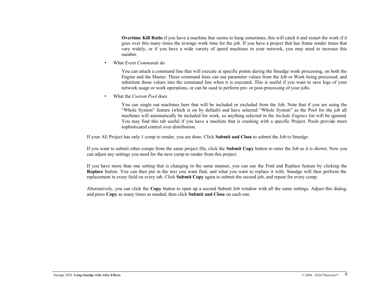**Overtime Kill Ratio** if you have a machine that seems to hang sometimes, this will catch it and restart the work if it goes over this many times the average work time for the job. If you have a project that has frame render times that vary widely, or if you have a wide variety of speed machines in your network, you may need to increase this number.

• What *Event Commands* do

You can attach a command line that will execute at specific points during the Smedge work processing, on both the Engine and the Master. These command lines can use parameter values from the Job or Work being processed, and substitute those values into the command line when it is executed. This is useful if you want to save logs of your network usage or work operations, or can be used to perform pre- or post-processing of your jobs.

• What the *Custom Pool* does

You can single out machines here that will be included or excluded from the Job. Note that if you are using the "Whole System" feature (which is on by default) and have selected "Whole System" as the Pool for the job all machines will automatically be included for work, so anything selected in the *Include Engines* list will be ignored. You may find this tab useful if you have a machine that is crashing with a specific Project. Pools provide more sophisticated control over distribution.

If your AE Project has only 1 comp to render, you are done. Click **Submit and Close** to submit the Job to Smedge.

If you want to submit other comps from the same project file, click the **Submit Copy** button to enter the Job as it is shown. Now you can adjust any settings you need for the next comp to render from this project.

If you have more than one setting that is changing in the same manner, you can use the Find and Replace feature by clicking the **Replace** button. You can then put in the text you want find, and what you want to replace it with. Smedge will then perform the replacement in every field on every tab. Click **Submit Copy** again to submit the second job, and repeat for every comp.

Alternatively, you can click the **Copy** button to open up a second Submit Job window with all the same settings. Adjust this dialog, and press **Copy** as many times as needed, then click **Submit and Close** on each one.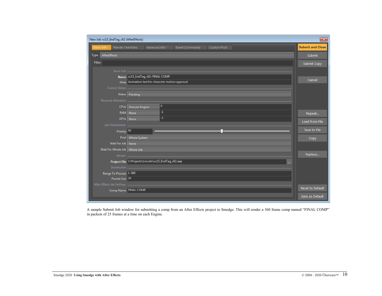| New Job: sc15_EndTag_v02 (AfterEffects) |                                                      |                 |                       |                    |        | $\overline{\mathbf{x}}$ |
|-----------------------------------------|------------------------------------------------------|-----------------|-----------------------|--------------------|--------|-------------------------|
| Basic Info                              | <b>Render Overrides</b>                              | Advanced Info * | <b>Event Commands</b> | <b>Custom Pool</b> |        | <b>Submit and Close</b> |
| AfterEffects<br>Type                    |                                                      |                 |                       |                    |        | Submit                  |
| Filter:                                 |                                                      |                 |                       |                    |        | Submit Copy             |
| Basic Info _                            |                                                      |                 |                       |                    |        |                         |
|                                         | Name sc15_EndTag_v02: FINAL COMP                     |                 |                       |                    |        |                         |
|                                         | Note Animation test for character motion approval    |                 |                       |                    | Cancel |                         |
|                                         |                                                      |                 |                       |                    |        |                         |
|                                         | Status   Pending                                     |                 |                       |                    |        |                         |
| Resource Allocation _                   |                                                      |                 |                       |                    |        |                         |
|                                         | CPUs One per Engine                                  | $\mathbf{0}$    |                       |                    |        |                         |
|                                         | RAM None                                             | $-1$            |                       |                    |        | Repeat                  |
|                                         | GPUs None                                            | $-1$            |                       |                    |        | Load from File          |
| Job Prioritization                      |                                                      |                 |                       |                    |        |                         |
| Priority <sup>50</sup>                  |                                                      |                 |                       |                    |        | Save to File            |
|                                         | Pool   Whole System                                  |                 |                       |                    |        | Copy                    |
| Wait For Job   None                     |                                                      |                 |                       |                    |        |                         |
| Wait For Whole Job   Whole Job          |                                                      |                 |                       |                    |        |                         |
| Render                                  |                                                      |                 |                       |                    |        | Replace                 |
|                                         | Project File J:\Projects\Lincoln\sc15_EndTag_v02.aep |                 |                       |                    |        |                         |
|                                         |                                                      |                 |                       |                    |        |                         |
| Range To Process 1-360                  |                                                      |                 |                       |                    |        |                         |
| Packet Size 25                          |                                                      |                 |                       |                    |        |                         |
| After Effects Job Settings __           |                                                      |                 |                       |                    |        | Reset to Default        |
|                                         | Comp Name FINAL COMP                                 |                 |                       |                    |        |                         |
|                                         |                                                      |                 |                       |                    |        | Save as Default         |

A sample Submit Job window for submitting a comp from an After Effects project to Smedge. This will render a 360 frame comp named "FINAL COMP" in packets of 25 frames at a time on each Engine.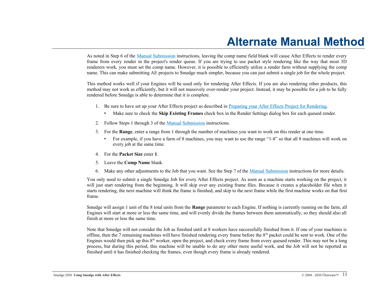## <span id="page-10-0"></span>**Alternate Manual Method**

As noted in Step 6 of the [Manual Submission](#page-7-0) instructions, leaving the comp name field blank will cause After Effects to render every frame from every render in the project's render queue. If you are trying to use packet style rendering like the way that most 3D renderers work, you must set the comp name. However, it is possible to efficiently utilize a render farm without supplying the comp name. This can make submitting AE projects to Smedge much simpler, because you can just submit a single job for the whole project.

This method works well if your Engines will be used only for rendering After Effects. If you are also rendering other products, this method may not work as efficiently, but it will not massively over-render your project. Instead, it may be possible for a job to be fully rendered before Smedge is able to determine that it is complete.

- 1. Be sure to have set up your After Effects project as described in [Preparing your After Effects Project for Rendering](#page-5-0).
	- Make sure to check the **Skip Existing Frames** check box in the Render Settings dialog box for each queued render.
- 2. Follow Steps 1 through 3 of the [Manual Submission](#page-7-0) instructions.
- 3. For the **Range**, enter a range from 1 through the number of machines you want to work on this render at one time.
	- For example, if you have a farm of 8 machines, you may want to use the range "1-8" so that all 8 machines will work on every job at the same time.
- 4. For the **Packet Size** enter **1**.
- 5. Leave the **Comp Name** blank.
- 6. Make any other adjustments to the Job that you want. See the Step 7 of the [Manual Submission](#page-7-0) instructions for more details.

You only need to submit a single Smedge Job for every After Effects project. As soon as a machine starts working on the project, it will just start rendering from the beginning. It will skip over any existing frame files. Because it creates a placeholder file when it starts rendering, the next machine will think the frame is finished, and skip to the next frame while the first machine works on that first frame.

Smedge will assign 1 unit of the 8 total units from the **Range** parameter to each Engine. If nothing is currently running on the farm, all Engines will start at more or less the same time, and will evenly divide the frames between them automatically, so they should also all finish at more or less the same time.

Note that Smedge will not consider the Job as finished until at 8 workers have successfully finished from it. If one of your machines is offline, then the 7 remaining machines will have finished rendering every frame before the  $8<sup>th</sup>$  packet could be sent to work. One of the Engines would then pick up this 8<sup>th</sup> worker, open the project, and check every frame from every queued render. This may not be a long process, but during this period, this machine will be unable to do any other more useful work, and the Job will not be reported as finished until it has finished checking the frames, even though every frame is already rendered.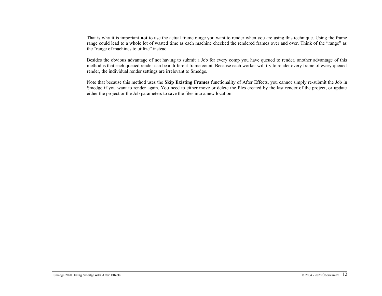That is why it is important **not** to use the actual frame range you want to render when you are using this technique. Using the frame range could lead to a whole lot of wasted time as each machine checked the rendered frames over and over. Think of the "range" as the "range of machines to utilize" instead.

Besides the obvious advantage of not having to submit a Job for every comp you have queued to render, another advantage of this method is that each queued render can be a different frame count. Because each worker will try to render every frame of every queued render, the individual render settings are irrelevant to Smedge.

Note that because this method uses the **Skip Existing Frames** functionality of After Effects, you cannot simply re-submit the Job in Smedge if you want to render again. You need to either move or delete the files created by the last render of the project, or update either the project or the Job parameters to save the files into a new location.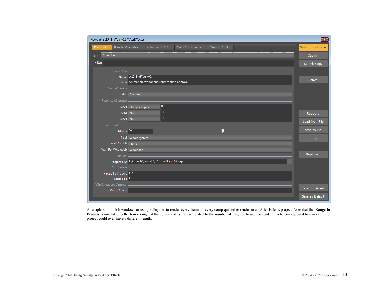| New Job: sc15_EndTag_v02 (AfterEffects)   |                                |                                                      |                       |             |        |  | $\mathbf{x}$            |
|-------------------------------------------|--------------------------------|------------------------------------------------------|-----------------------|-------------|--------|--|-------------------------|
| <b>Basic Info</b>                         | <b>Render Overrides</b>        | Advanced Info*                                       | <b>Event Commands</b> | Custom Pool |        |  | <b>Submit and Close</b> |
| AfterEffects<br><b>Type</b>               |                                |                                                      |                       |             | Submit |  |                         |
| Filter:                                   |                                |                                                      |                       |             |        |  | Submit Copy             |
|                                           | Basic Info                     |                                                      |                       |             |        |  |                         |
|                                           | Name sc15_EndTag_v02           |                                                      |                       |             |        |  |                         |
|                                           |                                | Note Animation test for character motion approval    |                       |             |        |  | Cancel                  |
|                                           |                                |                                                      |                       |             |        |  |                         |
|                                           | Status   Pending               |                                                      |                       |             |        |  |                         |
| Resource Allocation _                     |                                |                                                      |                       |             |        |  |                         |
|                                           | CPUs   One per Engine          | 0                                                    |                       |             |        |  |                         |
|                                           | RAM None                       | $\overline{4}$                                       |                       |             |        |  | Repeat                  |
|                                           | GPUs None                      | $-1$                                                 |                       |             |        |  | Load from File          |
| Job Prioritization _                      |                                |                                                      |                       |             |        |  |                         |
|                                           | Priority <sup>50</sup>         |                                                      |                       |             |        |  | Save to File            |
|                                           | Pool   Whole System            | Copy                                                 |                       |             |        |  |                         |
|                                           | Wait For Job   None            |                                                      |                       |             |        |  |                         |
|                                           | Wait For Whole Job   Whole Job |                                                      |                       |             |        |  |                         |
|                                           | Render _                       |                                                      |                       |             |        |  | Replace                 |
|                                           |                                | Project File J:\Projects\Lincoln\sc15_EndTag_v02.aep |                       |             |        |  |                         |
|                                           |                                |                                                      |                       |             |        |  |                         |
| Range To Process 1-8                      |                                |                                                      |                       |             |        |  |                         |
|                                           | Packet Size 1                  |                                                      |                       |             |        |  |                         |
| After Effects Job Settings _<br>Comp Name |                                |                                                      |                       |             |        |  | <b>Reset to Default</b> |
|                                           |                                |                                                      |                       |             |        |  | Save as Default         |

A sample Submit Job window for using 8 Engines to render every frame of every comp queued to render in an After Effects project. Note that the **Range to Process** is unrelated to the frame range of the comp, and is instead related to the number of Engines to use for render. Each comp queued to render in the project could even have a different length.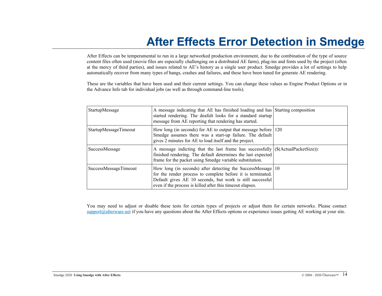# <span id="page-13-0"></span>**After Effects Error Detection in Smedge**

After Effects can be temperamental to run in a large networked production environment, due to the combination of the type of source content files often used (movie files are especially challenging on a distributed AE farm), plug-ins and fonts used by the project (often at the mercy of third parties), and issues related to AE's history as a single user product. Smedge provides a lot of settings to help automatically recover from many types of hangs, crashes and failures, and these have been tuned for generate AE rendering.

These are the variables that have been used and their current settings. You can change these values as Engine Product Options or in the Advance Info tab for individual jobs (as well as through command-line tools).

| StartupMessage        | A message indicating that AE has finished loading and has Starting composition<br>started rendering. The deafult looks for a standard startup<br>message from AE reporting that rendering has started.                                                          |  |
|-----------------------|-----------------------------------------------------------------------------------------------------------------------------------------------------------------------------------------------------------------------------------------------------------------|--|
| StartupMessageTimeout | How long (in seconds) for AE to output that message before $ 120\rangle$<br>Smedge assumes there was a start-up failure. The default<br>gives 2 minutes for AE to load itself and the project.                                                                  |  |
| SuccessMessage        | A message indicting that the last frame has successfully $(\$(ActualPacketSize))$ :<br>finished rendering. The default determines the last expected<br>frame for the packet using Smedge variable substitution.                                                 |  |
| SuccessMessageTimeout | How long (in seconds) after detecting the SuccessMessage $ 10\rangle$<br>for the render process to complete before it is terminated.<br>Default gives AE 10 seconds, but work is still successful<br>even if the process is killed after this time out elapses. |  |

You may need to adjust or disable these tests for certain types of projects or adjust them for certain networks. Please contact [support@uberware.net](mailto:support@uberware.net) if you have any questions about the After Effects options or experience issues getting AE working at your site.